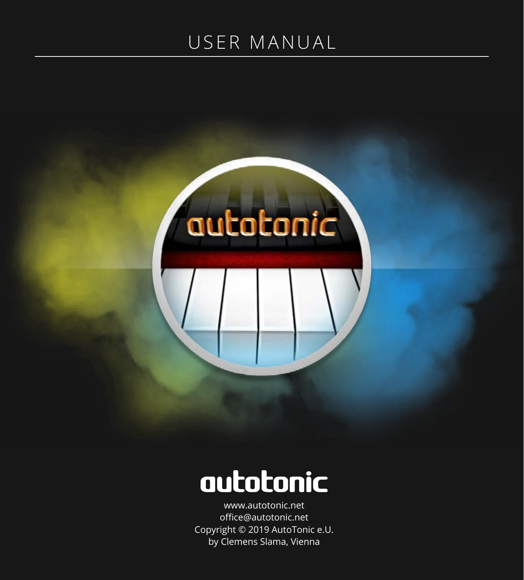## <span id="page-0-0"></span>USER MANUAL



# autotonic

[www.autotonic.net](http://www.autotonic.net) office@autotonic.net Copyright © 2019 AutoTonic e.U. by Clemens Slama, Vienna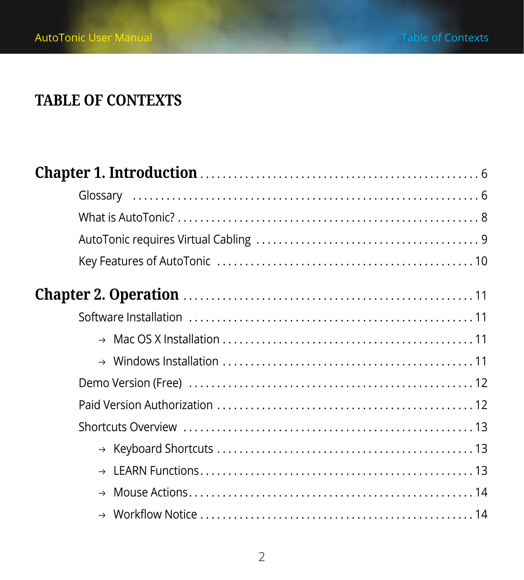### <span id="page-1-0"></span>**TABLE OF CONTEXTS**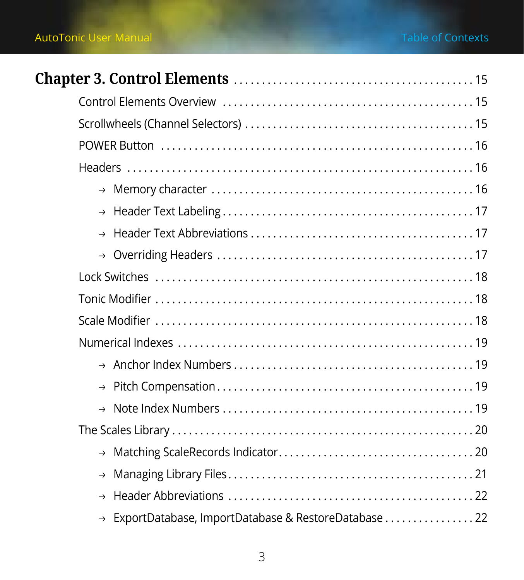| → ExportDatabase, ImportDatabase & RestoreDatabase 22 |  |
|-------------------------------------------------------|--|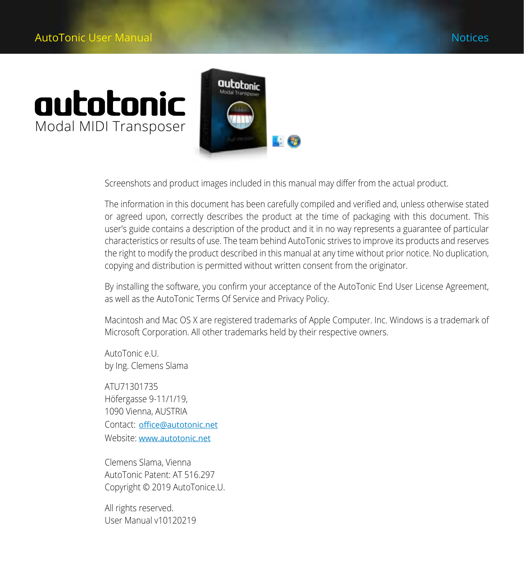# autotonic Modal MIDI Transposer



Screenshots and product images included in this manual may differ from the actual product.

The information in this document has been carefully compiled and verified and, unless otherwise stated or agreed upon, correctly describes the product at the time of packaging with this document. This user′s guide contains a description of the product and it in no way represents a guarantee of particular characteristics or results of use. The team behind AutoTonic strives to improve its products and reserves the right to modify the product described in this manual at any time without prior notice. No duplication, copying and distribution is permitted without written consent from the originator.

By installing the software, you confirm your acceptance of the AutoTonic End User License Agreement, as well as the AutoTonic Terms Of Service and Privacy Policy.

Macintosh and Mac OS X are registered trademarks of Apple Computer. Inc. Windows is a trademark of Microsoft Corporation. All other trademarks held by their respective owners.

AutoTonic e.U. by Ing. Clemens Slama

ATU71301735 Höfergasse 9-11/1/19, 1090 Vienna, AUSTRIA Contact: office[@autotonic.net](mailto:office%40autotonic.net?subject=) Website: [www.autotonic.net](http://www.autotonic.net)

Clemens Slama, Vienna AutoTonic Patent: AT 516.297 Copyright © 2019 AutoTonice.U.

All rights reserved. User Manual v10120219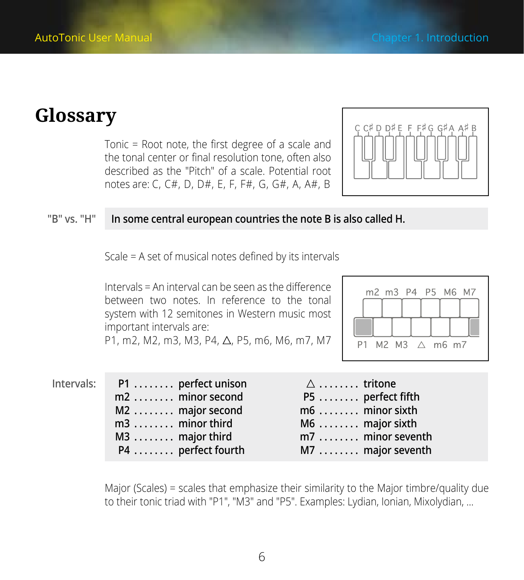## <span id="page-5-0"></span>**Glossary**

Tonic = Root note, the first degree of a scale and the tonal center or final resolution tone, often also described as the ″Pitch″ of a scale. Potential root notes are: C, C#, D, D#, E, F, F#, G, G#, A, A#, B



#### **″B″ vs. ″H″ In some central european countries the note B is also called H.**

Scale = A set of musical notes defined by its intervals

Intervals = An interval can be seen as the difference between two notes. In reference to the tonal system with 12 semitones in Western music most important intervals are:

P1, m2, M2, m3, M3, P4,  $\triangle$ , P5, m6, M6, m7, M7



#### **Intervals:**

|                | P1  perfect unison |
|----------------|--------------------|
|                | m2  minor second   |
|                | M2 major second    |
| m3 minor third |                    |
| M3 major third |                    |
|                | P4 perfect fourth  |

| $\triangle$ $\dots \dots$ tritone |                   |
|-----------------------------------|-------------------|
|                                   | P5  perfect fifth |
|                                   | m6  minor sixth   |
|                                   | $M6$ major sixth  |
|                                   | m7  minor seventh |
|                                   | M7  major seventh |

Major (Scales) = scales that emphasize their similarity to the Major timbre/quality due to their tonic triad with ″P1″, ″M3″ and ″P5″. Examples: Lydian, Ionian, Mixolydian, …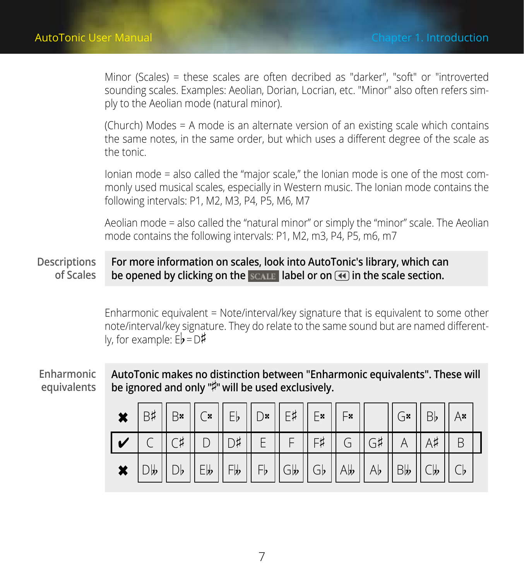Minor (Scales) = these scales are often decribed as ″darker″, ″soft″ or ″introverted sounding scales. Examples: Aeolian, Dorian, Locrian, etc. ″Minor″ also often refers simply to the Aeolian mode (natural minor).

(Church) Modes = A mode is an alternate version of an existing scale which contains the same notes, in the same order, but which uses a different degree of the scale as the tonic.

Ionian mode = also called the "major scale," the Ionian mode is one of the most commonly used musical scales, especially in Western music. The Ionian mode contains the following intervals: P1, M2, M3, P4, P5, M6, M7

Aeolian mode = also called the "natural minor" or simply the "minor" scale. The Aeolian mode contains the following intervals: P1, M2, m3, P4, P5, m6, m7

#### **For more information on scales, look into AutoTonic′s library, which can be opened by clicking on the label or on in the scale section. Descriptions of Scales**

Enharmonic equivalent = Note/interval/key signature that is equivalent to some other note/interval/key signature. They do relate to the same sound but are named differently, for example:  $E\flat = D\sharp$ 

#### **Enharmonic equivalents**

**AutoTonic makes no distinction between ″Enharmonic equivalents″. These will**  be ignored and only "<sup> $\sharp$ </sup>" will be used exclusively.

|  |  |  | $\big \bigstar\big \,\biguplus\,\big \,\bigupharpoonright\,\bigupharpoonright\, \bigupharpoonright\, \big \bigupharpoonright\, \bigupharpoonright\, \big \big  \subset \mathbb{F}\big \,\big \big \, \bigupharpoonright\, \mathbb{F}\big \,\big \big \, \bigupharpoonright\, \mathbb{F}\big \,\big \big \, \bigupharpoonright\, \mathbb{F}\big \,\big \big \, \bigupharpoonright\, \mathbb{F}\big \,\big \big \, \big \,$ |  |  | $\ G*  B\ $ $Ax$ |  |
|--|--|--|---------------------------------------------------------------------------------------------------------------------------------------------------------------------------------------------------------------------------------------------------------------------------------------------------------------------------------------------------------------------------------------------------------------------------|--|--|------------------|--|
|  |  |  | $\mathcal{V}$ $\mathcal{C}$ $\mathcal{C}$ $\mathcal{C}$ $\mathcal{V}$ $\mathcal{D}$ $\mathcal{V}$ $\mathcal{D}$ $\mathcal{V}$ $\mathcal{V}$ $\mathcal{E}$ $\mathcal{V}$ $\mathcal{F}$ $\mathcal{V}$ $\mathcal{F}$ $\mathcal{V}$ $\mathcal{V}$ $\mathcal{V}$ $\mathcal{V}$ $\mathcal{V}$ $\mathcal{V}$ $\mathcal{V}$ $\mathcal{V}$ $\mathcal{V}$ $\mathcal{$                                                               |  |  |                  |  |
|  |  |  | $\star$ $ Db  Db  Eb  Fb  Fb  Gb  dD  Ab  Ab  Bb  Cb  cD$                                                                                                                                                                                                                                                                                                                                                                 |  |  |                  |  |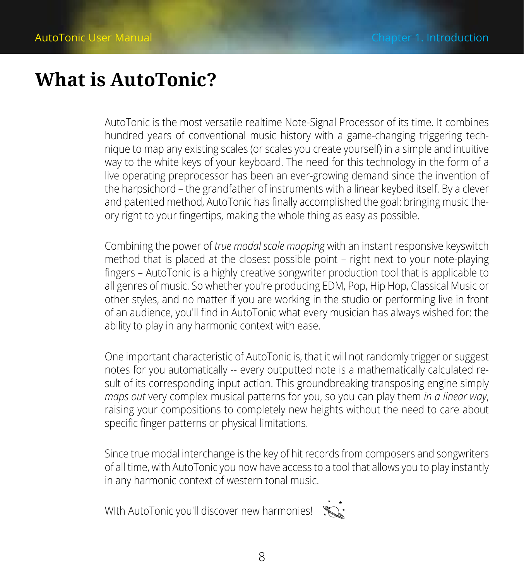## <span id="page-7-0"></span>**What is AutoTonic?**

AutoTonic is the most versatile realtime Note-Signal Processor of its time. It combines hundred years of conventional music history with a game-changing triggering technique to map any existing scales (or scales you create yourself) in a simple and intuitive way to the white keys of your keyboard. The need for this technology in the form of a live operating preprocessor has been an ever-growing demand since the invention of the harpsichord – the grandfather of instruments with a linear keybed itself. By a clever and patented method, AutoTonic has finally accomplished the goal: bringing music theory right to your fingertips, making the whole thing as easy as possible.

Combining the power of *true modal scale mapping* with an instant responsive keyswitch method that is placed at the closest possible point – right next to your note-playing fingers – AutoTonic is a highly creative songwriter production tool that is applicable to all genres of music. So whether you′re producing EDM, Pop, Hip Hop, Classical Music or other styles, and no matter if you are working in the studio or performing live in front of an audience, you′ll find in AutoTonic what every musician has always wished for: the ability to play in any harmonic context with ease.

One important characteristic of AutoTonic is, that it will not randomly trigger or suggest notes for you automatically -- every outputted note is a mathematically calculated result of its corresponding input action. This groundbreaking transposing engine simply *maps out* very complex musical patterns for you, so you can play them *in a linear way*, raising your compositions to completely new heights without the need to care about specific finger patterns or physical limitations.

Since true modal interchange is the key of hit records from composers and songwriters of all time, with AutoTonic you now have access to a tool that allows you to play instantly in any harmonic context of western tonal music.

WIth AutoTonic you'll discover new harmonies!

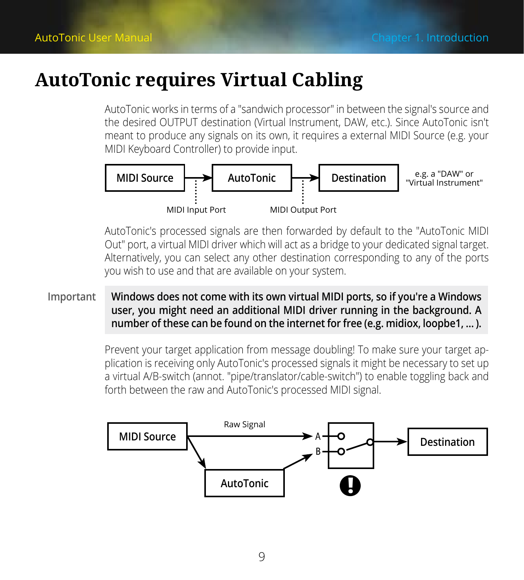## <span id="page-8-0"></span>**AutoTonic requires Virtual Cabling**

AutoTonic works in terms of a ″sandwich processor″ in between the signal′s source and the desired OUTPUT destination (Virtual Instrument, DAW, etc.). Since AutoTonic isn′t meant to produce any signals on its own, it requires a external MIDI Source (e.g. your MIDI Keyboard Controller) to provide input.



AutoTonic′s processed signals are then forwarded by default to the ″AutoTonic MIDI Out″ port, a virtual MIDI driver which will act as a bridge to your dedicated signal target. Alternatively, you can select any other destination corresponding to any of the ports you wish to use and that are available on your system.

#### **Windows does not come with its own virtual MIDI ports, so if you′re a Windows user, you might need an additional MIDI driver running in the background. A number of these can be found on the internet for free (e.g. midiox, loopbe1, … ). Important**

Prevent your target application from message doubling! To make sure your target application is receiving only AutoTonic′s processed signals it might be necessary to set up a virtual A/B-switch (annot. ″pipe/translator/cable-switch″) to enable toggling back and forth between the raw and AutoTonic′s processed MIDI signal.

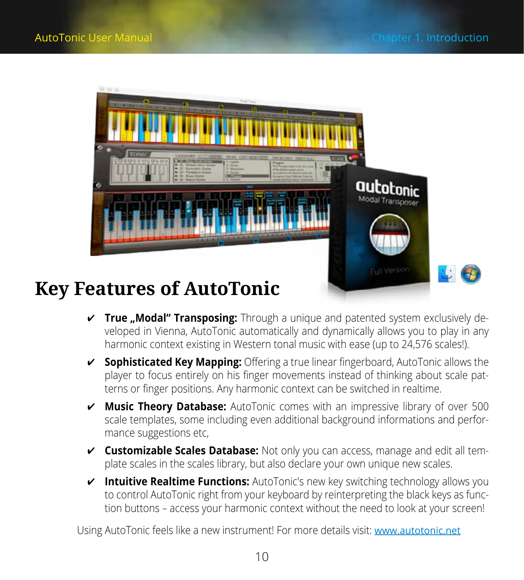<span id="page-9-0"></span>

## **Key Features of AutoTonic**

- ཞ **True "Modal" Transposing:** Through a unique and patented system exclusively developed in Vienna, AutoTonic automatically and dynamically allows you to play in any harmonic context existing in Western tonal music with ease (up to 24,576 scales!).
- ཞ **Sophisticated Key Mapping:** Offering a true linear fingerboard, AutoTonic allows the player to focus entirely on his finger movements instead of thinking about scale patterns or finger positions. Any harmonic context can be switched in realtime.
- ཞ **Music Theory Database:** AutoTonic comes with an impressive library of over 500 scale templates, some including even additional background informations and performance suggestions etc,
- ཞ **Customizable Scales Database:** Not only you can access, manage and edit all template scales in the scales library, but also declare your own unique new scales.
- ཞ **Intuitive Realtime Functions:** AutoTonic′s new key switching technology allows you to control AutoTonic right from your keyboard by reinterpreting the black keys as function buttons – access your harmonic context without the need to look at your screen!

Using AutoTonic feels like a new instrument! For more details visit: [www.autotonic.net](http://www.autotonic.net)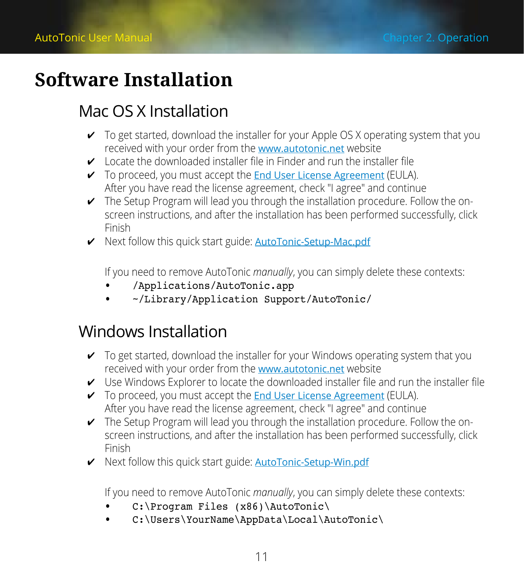## <span id="page-10-0"></span>**Software Installation**

### Mac OS X Installation

- $\triangledown$  To get started, download the installer for your Apple OS X operating system that you received with your order from the [www.autotonic.net](http://www.autotonic.net) website
- $\checkmark$  Locate the downloaded installer file in Finder and run the installer file
- $\checkmark$  To proceed, you must accept the [End User License Agreement](https://www.autotonic.net/pages/eula) (EULA). After you have read the license agreement, check ″I agree″ and continue
- ཞ The Setup Program will lead you through the installation procedure. Follow the onscreen instructions, and after the installation has been performed successfully, click Finish
- ◆ Next follow this quick start guide: **[AutoTonic-Setup-Mac.pdf](http://media.autotonic.net/images/AutoTonic-Setup-Mac.pdf)**

If you need to remove AutoTonic *manually*, you can simply delete these contexts:

- • /Applications/AutoTonic.app
- • ~/Library/Application Support/AutoTonic/

### Windows Installation

- $\checkmark$  To get started, download the installer for your Windows operating system that you received with your order from the [www.autotonic.net](http://www.autotonic.net) website
- $\vee$  Use Windows Explorer to locate the downloaded installer file and run the installer file
- $\checkmark$  To proceed, you must accept the [End User License Agreement](https://www.autotonic.net/pages/eula) (EULA). After you have read the license agreement, check ″I agree″ and continue
- $\triangleright$  The Setup Program will lead you through the installation procedure. Follow the onscreen instructions, and after the installation has been performed successfully, click Finish
- ཞ Next follow this quick start guide: [AutoTonic-Setup-Win.pdf](http://media.autotonic.net/images/AutoTonic-Setup-Win.pdf)

If you need to remove AutoTonic *manually*, you can simply delete these contexts:

- C:\Program Files (x86)\AutoTonic\
- C:\Users\YourName\AppData\Local\AutoTonic\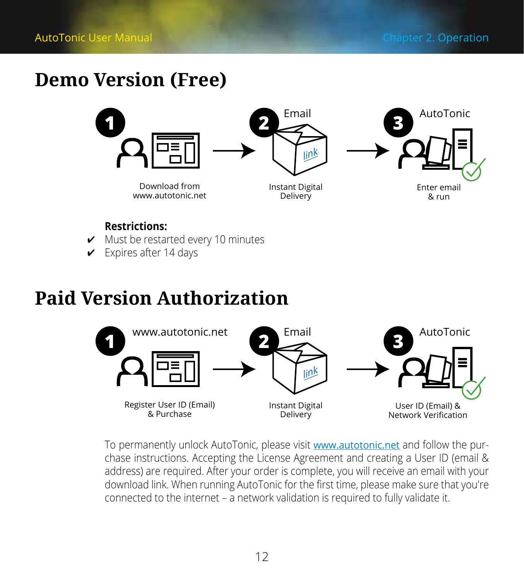## <span id="page-11-0"></span>**Demo Version (Free)**



#### **Restrictions:**

- $\nu$  Must be restarted every 10 minutes
- $\checkmark$  Expires after 14 days

## **Paid Version Authorization**



To permanently unlock AutoTonic, please visit [www.autotonic.net](http://www.autotonic.net) and follow the purchase instructions. Accepting the License Agreement and creating a User ID (email & address) are required. After your order is complete, you will receive an email with your download link. When running AutoTonic for the first time, please make sure that you′re connected to the internet – a network validation is required to fully validate it.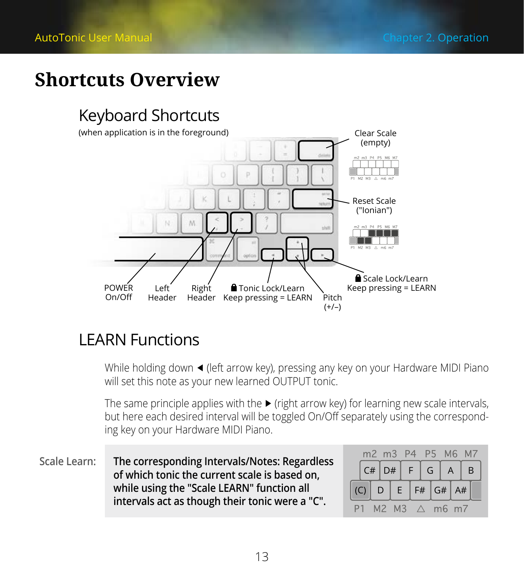## <span id="page-12-0"></span>**Shortcuts Overview**

## Keyboard Shortcuts



### LEARN Functions

While holding down ◀ (left arrow key), pressing any key on your Hardware MIDI Piano will set this note as your new learned OUTPUT tonic.

The same principle applies with the ▶ (right arrow key) for learning new scale intervals, but here each desired interval will be toggled On/Off separately using the corresponding key on your Hardware MIDI Piano.

**The corresponding Intervals/Notes: Regardless of which tonic the current scale is based on, while using the ″Scale LEARN″ function all intervals act as though their tonic were a ″C″. Scale Learn:**

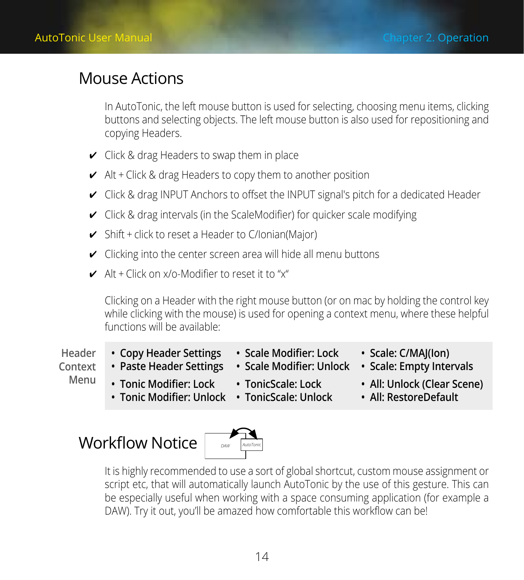### <span id="page-13-0"></span>Mouse Actions

In AutoTonic, the left mouse button is used for selecting, choosing menu items, clicking buttons and selecting objects. The left mouse button is also used for repositioning and copying Headers.

- $\vee$  Click & drag Headers to swap them in place
- $\vee$  Alt + Click & drag Headers to copy them to another position
- ཞ Click & drag INPUT Anchors to offset the INPUT signal′s pitch for a dedicated Header
- $\checkmark$  Click & drag intervals (in the ScaleModifier) for quicker scale modifying
- $\checkmark$  Shift + click to reset a Header to C/Ionian(Major)
- $\checkmark$  Clicking into the center screen area will hide all menu buttons
- $\angle$  Alt + Click on x/o-Modifier to reset it to "x"

Clicking on a Header with the right mouse button (or on mac by holding the control key while clicking with the mouse) is used for opening a context menu, where these helpful functions will be available:

- **Header**
- **• Copy Header Settings**
- **• Scale Modifier: Lock**
- **• Scale: C/MAJ(Ion)**
- **Context**
- **• Paste Header Settings**
- **• Scale Modifier: Unlock**
- 

**Menu**

- -
- **• Scale: Empty Intervals**
- **• Tonic Modifier: Lock**
	- **• Tonic Modifier: Unlock • TonicScale: Unlock • TonicScale: Lock**
- **• All: Unlock (Clear Scene) • All: RestoreDefault**



It is highly recommended to use a sort of global shortcut, custom mouse assignment or script etc, that will automatically launch AutoTonic by the use of this gesture. This can be especially useful when working with a space consuming application (for example a DAW). Try it out, you'll be amazed how comfortable this workflow can be!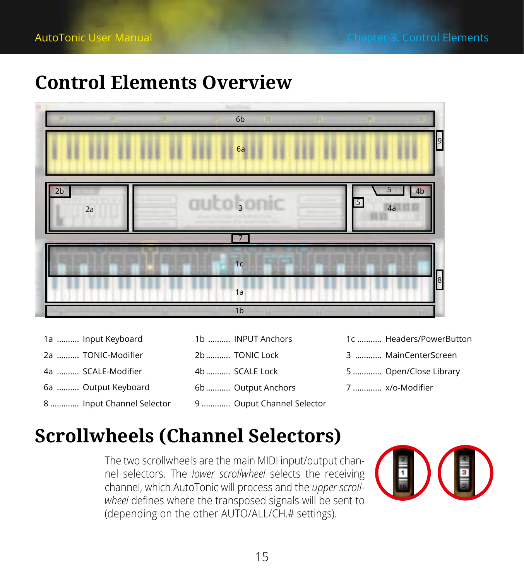## <span id="page-14-0"></span>**Control Elements Overview**



| 1a  Input Keyboard        | 1b  INPUT Anchors         | 1c  Headers/PowerButton |
|---------------------------|---------------------------|-------------------------|
| 2a  TONIC-Modifier        | 2b  TONIC Lock            | 3  MainCenterScreen     |
| 4a  SCALE-Modifier        | 4b  SCALE Lock            | 5  Open/Close Library   |
| 6a  Output Keyboard       | 6b Output Anchors         | 7  x/o-Modifier         |
| 8  Input Channel Selector | 9  Ouput Channel Selector |                         |

## **Scrollwheels (Channel Selectors)**

The two scrollwheels are the main MIDI input/output channel selectors. The *lower scrollwheel* selects the receiving channel, which AutoTonic will process and the *upper scroll*wheel defines where the transposed signals will be sent to (depending on the other AUTO/ALL/CH.# settings).

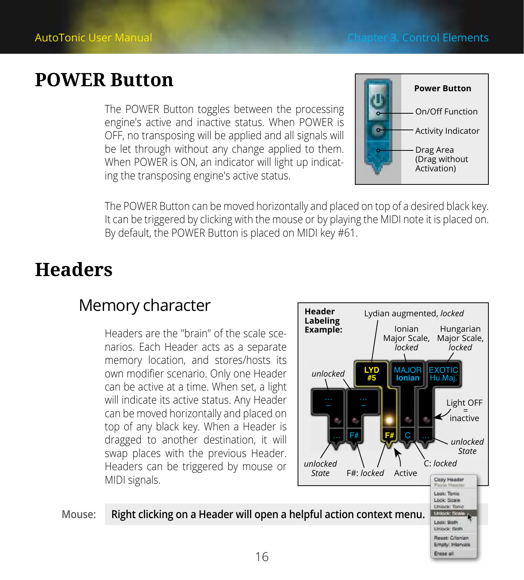## <span id="page-15-0"></span>**POWER Button**

The POWER Button toggles between the processing engine′s active and inactive status. When POWER is OFF, no transposing will be applied and all signals will be let through without any change applied to them. When POWER is ON, an indicator will light up indicating the transposing engine′s active status.



The POWER Button can be moved horizontally and placed on top of a desired black key. It can be triggered by clicking with the mouse or by playing the MIDI note it is placed on. By default, the POWER Button is placed on MIDI key #61.

## **Headers**

### Memory character

Headers are the ″brain″ of the scale scenarios. Each Header acts as a separate memory location, and stores/hosts its own modifier scenario. Only one Header can be active at a time. When set, a light will indicate its active status. Any Header can be moved horizontally and placed on top of any black key. When a Header is dragged to another destination, it will swap places with the previous Header. Headers can be triggered by mouse or MIDI signals.

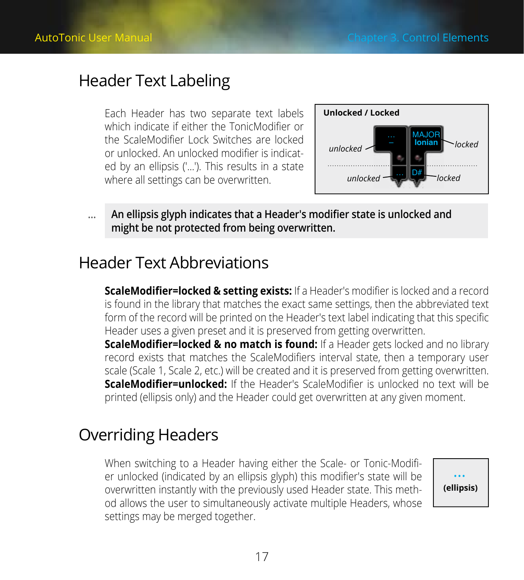### <span id="page-16-0"></span>Header Text Labeling

Each Header has two separate text labels which indicate if either the TonicModifier or the ScaleModifier Lock Switches are locked or unlocked. An unlocked modifier is indicated by an ellipsis (′…′). This results in a state where all settings can be overwritten.



**An ellipsis glyph indicates that a Header′s modifier state is unlocked and might be not protected from being overwritten. …**

### Header Text Abbreviations

**ScaleModifier=locked & setting exists:** If a Header′s modifier is locked and a record is found in the library that matches the exact same settings, then the abbreviated text form of the record will be printed on the Header′s text label indicating that this specific Header uses a given preset and it is preserved from getting overwritten.

**ScaleModifier=locked & no match is found:** If a Header gets locked and no library record exists that matches the ScaleModifiers interval state, then a temporary user scale (Scale 1, Scale 2, etc.) will be created and it is preserved from getting overwritten. **ScaleModifier=unlocked:** If the Header′s ScaleModifier is unlocked no text will be printed (ellipsis only) and the Header could get overwritten at any given moment.

### Overriding Headers

When switching to a Header having either the Scale- or Tonic-Modifier unlocked (indicated by an ellipsis glyph) this modifier′s state will be overwritten instantly with the previously used Header state. This method allows the user to simultaneously activate multiple Headers, whose settings may be merged together.

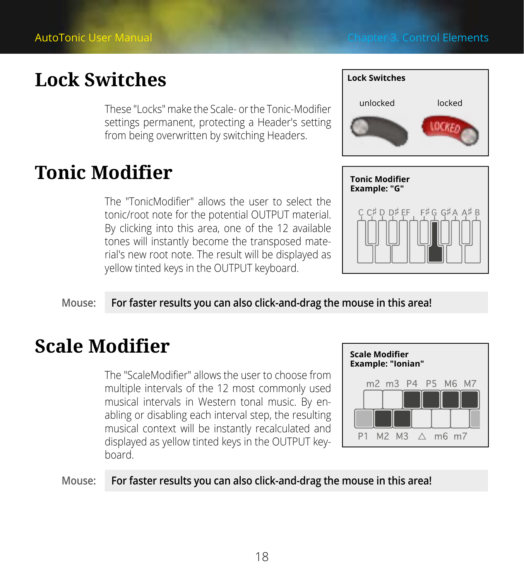## <span id="page-17-0"></span>**Lock Switches**

These ″Locks″ make the Scale- or the Tonic-Modifier settings permanent, protecting a Header′s setting from being overwritten by switching Headers.

## **Tonic Modifier**

The ″TonicModifier″ allows the user to select the tonic/root note for the potential OUTPUT material. By clicking into this area, one of the 12 available tones will instantly become the transposed material′s new root note. The result will be displayed as yellow tinted keys in the OUTPUT keyboard.





### **Mouse: For faster results you can also click-and-drag the mouse in this area!**

## **Scale Modifier**

The ″ScaleModifier″ allows the user to choose from multiple intervals of the 12 most commonly used musical intervals in Western tonal music. By enabling or disabling each interval step, the resulting musical context will be instantly recalculated and displayed as yellow tinted keys in the OUTPUT keyboard.



#### **Mouse: For faster results you can also click-and-drag the mouse in this area!**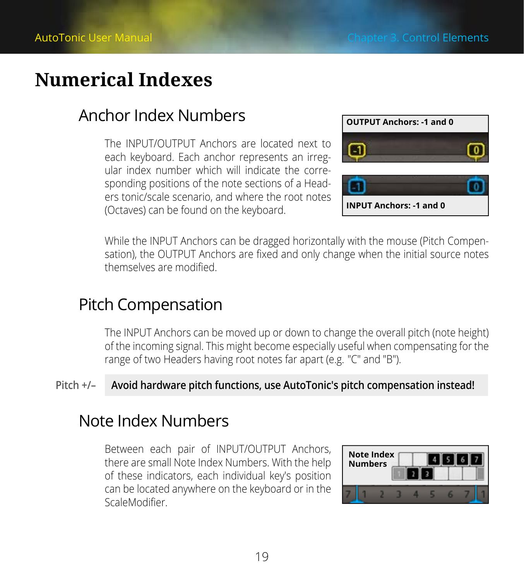## <span id="page-18-0"></span>**Numerical Indexes**

### Anchor Index Numbers

The INPUT/OUTPUT Anchors are located next to each keyboard. Each anchor represents an irregular index number which will indicate the corresponding positions of the note sections of a Headers tonic/scale scenario, and where the root notes (Octaves) can be found on the keyboard.



While the INPUT Anchors can be dragged horizontally with the mouse (Pitch Compensation), the OUTPUT Anchors are fixed and only change when the initial source notes themselves are modified.

### Pitch Compensation

The INPUT Anchors can be moved up or down to change the overall pitch (note height) of the incoming signal. This might become especially useful when compensating for the range of two Headers having root notes far apart (e.g. ″C″ and ″B″).

### **Pitch +/– Avoid hardware pitch functions, use AutoTonic′s pitch compensation instead!**

### Note Index Numbers

Between each pair of INPUT/OUTPUT Anchors, there are small Note Index Numbers. With the help of these indicators, each individual key′s position can be located anywhere on the keyboard or in the ScaleModifier.

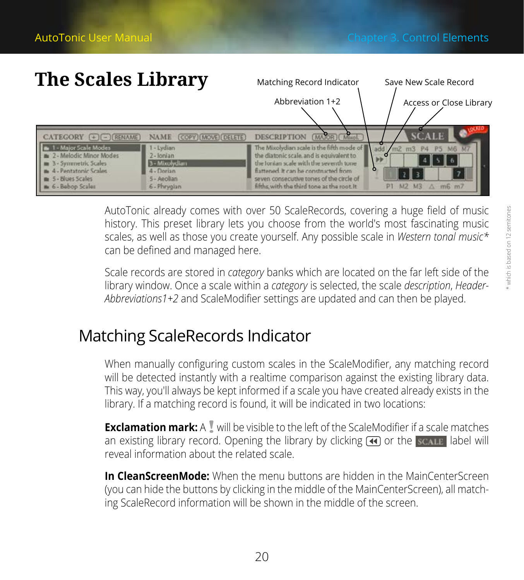Matching Record Indicator Save New Scale Record

## <span id="page-19-0"></span>**The Scales Library**



AutoTonic already comes with over 50 ScaleRecords, covering a huge field of music history. This preset library lets you choose from the world′s most fascinating music scales, as well as those you create yourself. Any possible scale in *Western tonal music\** can be defined and managed here.

Scale records are stored in *category* banks which are located on the far left side of the library window. Once a scale within a *category* is selected, the scale *description*, *Header-Abbreviations1+2* and ScaleModifier settings are updated and can then be played.

### Matching ScaleRecords Indicator

When manually configuring custom scales in the ScaleModifier, any matching record will be detected instantly with a realtime comparison against the existing library data. This way, you′ll always be kept informed if a scale you have created already exists in the library. If a matching record is found, it will be indicated in two locations:

**Exclamation mark:** A I will be visible to the left of the ScaleModifier if a scale matches an existing library record. Opening the library by clicking  $\bigcirc$  or the scalle abel will reveal information about the related scale.

**In CleanScreenMode:** When the menu buttons are hidden in the MainCenterScreen (you can hide the buttons by clicking in the middle of the MainCenterScreen), all matching ScaleRecord information will be shown in the middle of the screen.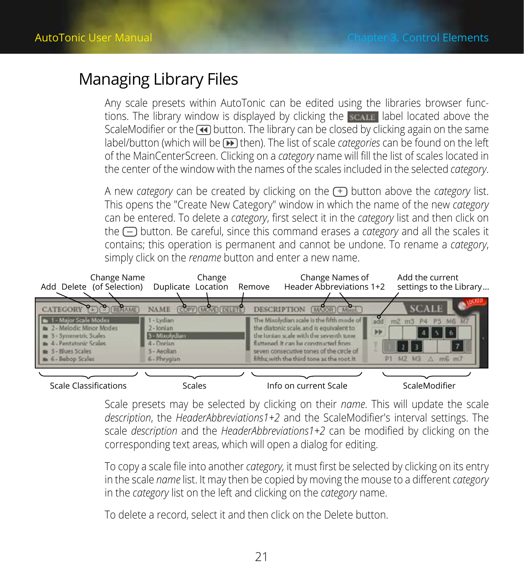### <span id="page-20-0"></span>Managing Library Files

Any scale presets within AutoTonic can be edited using the libraries browser functions. The library window is displayed by clicking the scall abel located above the ScaleModifier or the  $\overline{4}$  button. The library can be closed by clicking again on the same label/button (which will be (D) then). The list of scale *categories* can be found on the left of the MainCenterScreen. Clicking on a *category* name will fill the list of scales located in the center of the window with the names of the scales included in the selected *category*.

A new *category* can be created by clicking on the  $F$  button above the *category* list. This opens the ″Create New Category″ window in which the name of the new *category* can be entered. To delete a *category*, first select it in the *category* list and then click on the  $\Box$  button. Be careful, since this command erases a *category* and all the scales it contains; this operation is permanent and cannot be undone. To rename a *category*, simply click on the *rename* button and enter a new name.



Scale presets may be selected by clicking on their *name*. This will update the scale *description*, the *HeaderAbbreviations1+2* and the ScaleModifier′s interval settings. The scale *description* and the *HeaderAbbreviations1+2* can be modified by clicking on the corresponding text areas, which will open a dialog for editing.

To copy a scale file into another *category,* it must first be selected by clicking on its entry in the scale *name* list. It may then be copied by moving the mouse to a different *category* in the *category* list on the left and clicking on the *category* name.

To delete a record, select it and then click on the Delete button.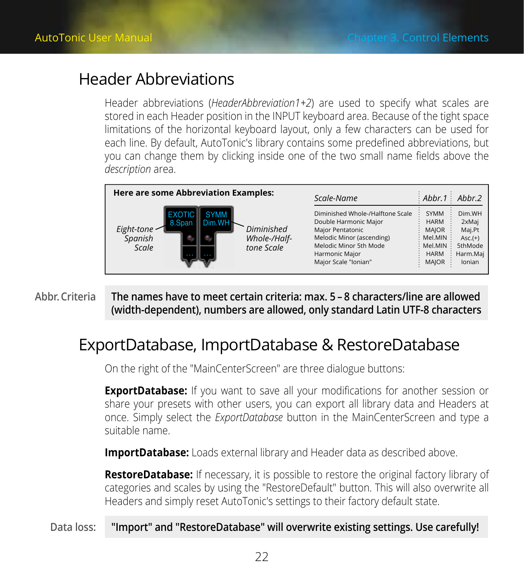### <span id="page-21-0"></span>Header Abbreviations

Header abbreviations (*HeaderAbbreviation1+2*) are used to specify what scales are stored in each Header position in the INPUT keyboard area. Because of the tight space limitations of the horizontal keyboard layout, only a few characters can be used for each line. By default, AutoTonic's library contains some predefined abbreviations, but you can change them by clicking inside one of the two small name fields above the *description* area.

| Here are some Abbreviation Examples:     |                                                         | Scale-Name                                                                                                                                                                     | Abbr.1 Abbr.2                                                                      |                                                                                |
|------------------------------------------|---------------------------------------------------------|--------------------------------------------------------------------------------------------------------------------------------------------------------------------------------|------------------------------------------------------------------------------------|--------------------------------------------------------------------------------|
| 8.Span<br>Eight-tone<br>Spanish<br>Scale | <b>SYMM</b><br>Diminished<br>Whole-/Half-<br>tone Scale | Diminished Whole-/Halftone Scale<br>Double Harmonic Major<br>Maior Pentatonic<br>Melodic Minor (ascending)<br>Melodic Minor 5th Mode<br>Harmonic Maior<br>Major Scale "Ionian" | SYMM<br><b>HARM</b><br><b>MAIOR</b><br>Mel. MIN<br>Mel.MIN<br><b>HARM</b><br>MAJOR | Dim.WH<br>2xMaj<br>Mai.Pt<br>$Asc.(+)$<br><b>5thMode</b><br>Harm.Maj<br>Ionian |

**The names have to meet certain criteria: max. 5 – 8 characters/line are allowed (width-dependent), numbers are allowed, only standard Latin UTF-8 characters Abbr. Criteria**

### ExportDatabase, ImportDatabase & RestoreDatabase

On the right of the ″MainCenterScreen″ are three dialogue buttons:

**ExportDatabase:** If you want to save all your modifications for another session or share your presets with other users, you can export all library data and Headers at once. Simply select the *ExportDatabase* button in the MainCenterScreen and type a suitable name.

**ImportDatabase:** Loads external library and Header data as described above.

**RestoreDatabase:** If necessary, it is possible to restore the original factory library of categories and scales by using the ″RestoreDefault″ button. This will also overwrite all Headers and simply reset AutoTonic′s settings to their factory default state.

#### **Data loss: ″Import″ and ″RestoreDatabase″ will overwrite existing settings. Use carefully!**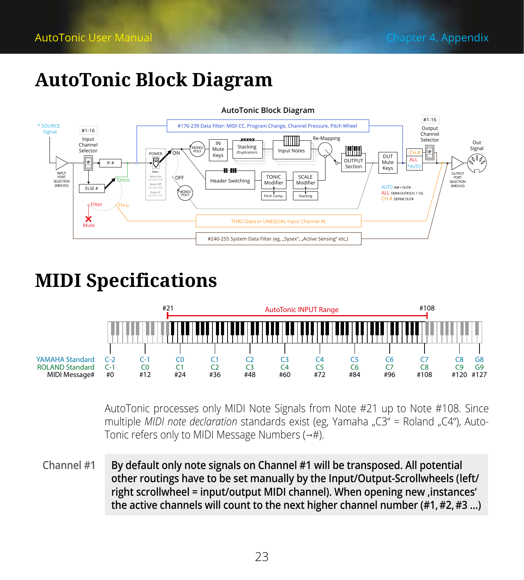## <span id="page-22-0"></span>**AutoTonic Block Diagram**



## **MIDI Specifications**



AutoTonic processes only MIDI Note Signals from Note #21 up to Note #108. Since multiple *MIDI note declaration* standards exist (eg, Yamaha "C3" = Roland "C4"), Auto-Tonic refers only to MIDI Message Numbers (→#).

**By default only note signals on Channel #1 will be transposed. All potential other routings have to be set manually by the Input/Output-Scrollwheels (left/ right scrollwheel = input/output MIDI channel). When opening new 'instances' the active channels will count to the next higher channel number (#1, #2, #3 …) Channel #1**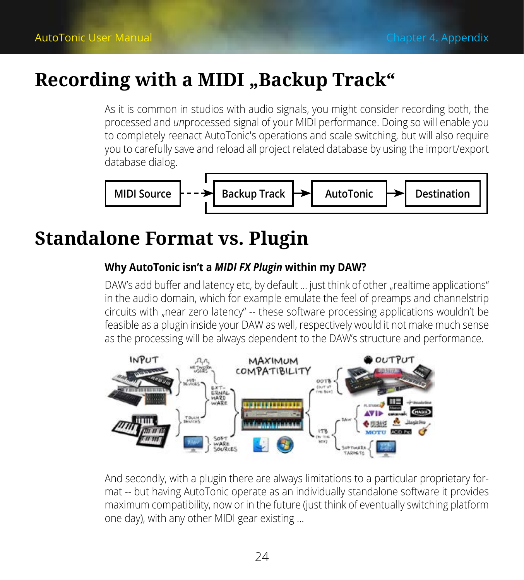## <span id="page-23-0"></span>**Recording with a MIDI "Backup Track"**

As it is common in studios with audio signals, you might consider recording both, the processed and *un*processed signal of your MIDI performance. Doing so will enable you to completely reenact AutoTonic′s operations and scale switching, but will also require you to carefully save and reload all project related database by using the import/export database dialog.



## **Standalone Format vs. Plugin**

### **Why AutoTonic isn't a** *MIDI FX Plugin* **within my DAW?**

DAW's add buffer and latency etc, by default ... just think of other "realtime applications" in the audio domain, which for example emulate the feel of preamps and channelstrip circuits with "near zero latency" -- these software processing applications wouldn't be feasible as a plugin inside your DAW as well, respectively would it not make much sense as the processing will be always dependent to the DAW's structure and performance.



And secondly, with a plugin there are always limitations to a particular proprietary format -- but having AutoTonic operate as an individually standalone software it provides maximum compatibility, now or in the future (just think of eventually switching platform one day), with any other MIDI gear existing …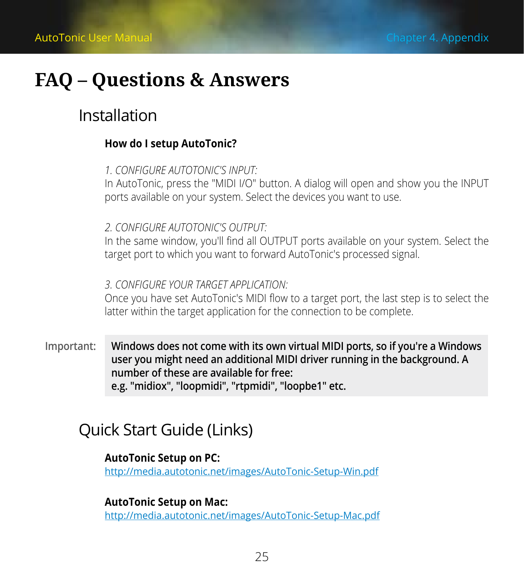## <span id="page-24-0"></span>**FAQ – Questions & Answers**

### Installation

#### **How do I setup AutoTonic?**

#### *1. CONFIGURE AUTOTONIC′S INPUT:*

In AutoTonic, press the ″MIDI I/O″ button. A dialog will open and show you the INPUT ports available on your system. Select the devices you want to use.

*2. CONFIGURE AUTOTONIC′S OUTPUT:*

In the same window, you'll find all OUTPUT ports available on your system. Select the target port to which you want to forward AutoTonic′s processed signal.

*3. CONFIGURE YOUR TARGET APPLICATION:*

Once you have set AutoTonic′s MIDI flow to a target port, the last step is to select the latter within the target application for the connection to be complete.

**Windows does not come with its own virtual MIDI ports, so if you′re a Windows user you might need an additional MIDI driver running in the background. A number of these are available for free: e.g. ″midiox″, ″loopmidi″, ″rtpmidi″, ″loopbe1″ etc. Important:**

### Quick Start Guide (Links)

### **AutoTonic Setup on PC:**

<http://media.autotonic.net/images/AutoTonic-Setup-Win.pdf>

#### **AutoTonic Setup on Mac:**

<http://media.autotonic.net/images/AutoTonic-Setup-Mac.pdf>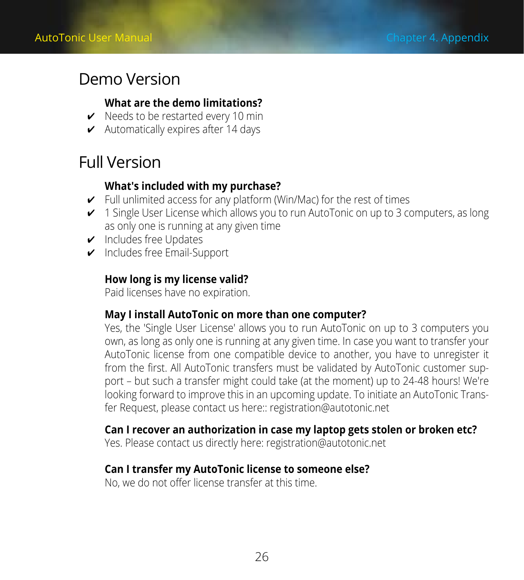### <span id="page-25-0"></span>Demo Version

### **What are the demo limitations?**

- $\checkmark$  Needs to be restarted every 10 min
- $\checkmark$  Automatically expires after 14 days

### Full Version

### **What′s included with my purchase?**

- $\triangleright$  Full unlimited access for any platform (Win/Mac) for the rest of times
- $\checkmark$  1 Single User License which allows you to run AutoTonic on up to 3 computers, as long as only one is running at any given time
- $\triangleright$  Includes free Updates
- $\triangleright$  Includes free Email-Support

### **How long is my license valid?**

Paid licenses have no expiration.

### **May I install AutoTonic on more than one computer?**

Yes, the ′Single User License′ allows you to run AutoTonic on up to 3 computers you own, as long as only one is running at any given time. In case you want to transfer your AutoTonic license from one compatible device to another, you have to unregister it from the first. All AutoTonic transfers must be validated by AutoTonic customer support – but such a transfer might could take (at the moment) up to 24-48 hours! We′re looking forward to improve this in an upcoming update. To initiate an AutoTonic Transfer Request, please contact us here:: [registration@autotonic.net](mailto:registration%40autotonic.net?subject=%5BAutoTonic%5D%20Transfer%20Request)

### **Can I recover an authorization in case my laptop gets stolen or broken etc?**

Yes. Please contact us directly here: [registration@autotonic.net](mailto:registration%40autotonic.net?subject=%5BAutoTonic%5D%20Authorization%20Recovery)

### **Can I transfer my AutoTonic license to someone else?**

No, we do not offer license transfer at this time.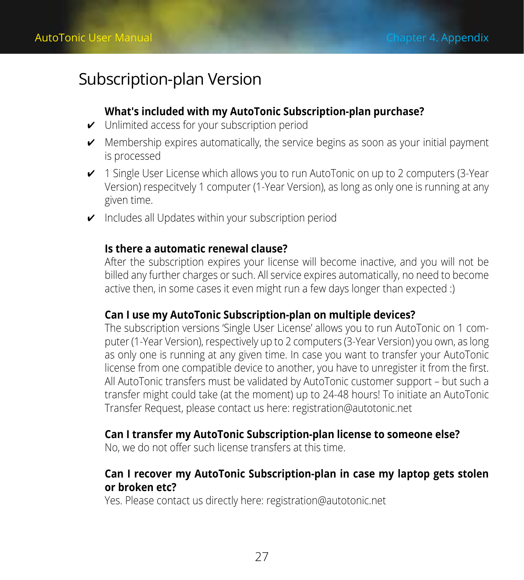### <span id="page-26-0"></span>Subscription-plan Version

### **What′s included with my AutoTonic Subscription-plan purchase?**

- $\checkmark$  Unlimited access for your subscription period
- $\checkmark$  Membership expires automatically, the service begins as soon as your initial payment is processed
- $\checkmark$  1 Single User License which allows you to run AutoTonic on up to 2 computers (3-Year Version) respecitvely 1 computer (1-Year Version), as long as only one is running at any given time.
- $\checkmark$  Includes all Updates within your subscription period

### **Is there a automatic renewal clause?**

After the subscription expires your license will become inactive, and you will not be billed any further charges or such. All service expires automatically, no need to become active then, in some cases it even might run a few days longer than expected :)

#### **Can I use my AutoTonic Subscription-plan on multiple devices?**

The subscription versions 'Single User License' allows you to run AutoTonic on 1 computer (1-Year Version), respectively up to 2 computers (3-Year Version) you own, as long as only one is running at any given time. In case you want to transfer your AutoTonic license from one compatible device to another, you have to unregister it from the first. All AutoTonic transfers must be validated by AutoTonic customer support – but such a transfer might could take (at the moment) up to 24-48 hours! To initiate an AutoTonic Transfer Request, please contact us here: registration@autotonic.net

#### **Can I transfer my AutoTonic Subscription-plan license to someone else?**

No, we do not offer such license transfers at this time.

### **Can I recover my AutoTonic Subscription-plan in case my laptop gets stolen or broken etc?**

Yes. Please contact us directly here: registration@autotonic.net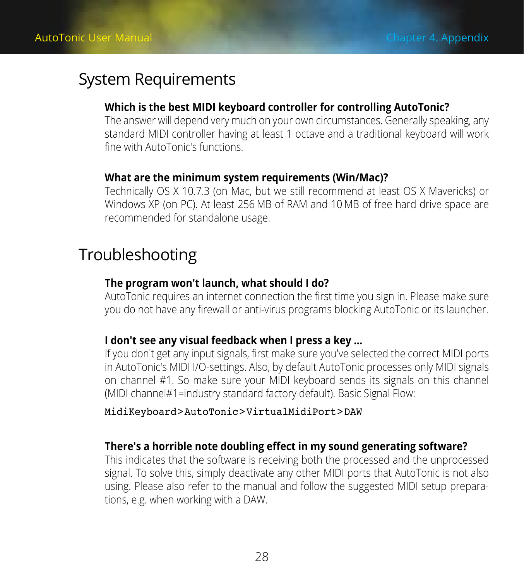### <span id="page-27-0"></span>System Requirements

#### **Which is the best MIDI keyboard controller for controlling AutoTonic?**

The answer will depend very much on your own circumstances. Generally speaking, any standard MIDI controller having at least 1 octave and a traditional keyboard will work fine with AutoTonic′s functions.

#### **What are the minimum system requirements (Win/Mac)?**

Technically OS X 10.7.3 (on Mac, but we still recommend at least OS X Mavericks) or Windows XP (on PC). At least 256 MB of RAM and 10 MB of free hard drive space are recommended for standalone usage.

### Troubleshooting

#### **The program won′t launch, what should I do?**

AutoTonic requires an internet connection the first time you sign in. Please make sure you do not have any firewall or anti-virus programs blocking AutoTonic or its launcher.

#### **I don′t see any visual feedback when I press a key …**

If you don′t get any input signals, first make sure you′ve selected the correct MIDI ports in AutoTonic′s MIDI I/O-settings. Also, by default AutoTonic processes only MIDI signals on channel #1. So make sure your MIDI keyboard sends its signals on this channel (MIDI channel#1=industry standard factory default). Basic Signal Flow:

#### MidiKeyboard>AutoTonic>VirtualMidiPort>DAW

#### **There′s a horrible note doubling effect in my sound generating software?**

This indicates that the software is receiving both the processed and the unprocessed signal. To solve this, simply deactivate any other MIDI ports that AutoTonic is not also using. Please also refer to the manual and follow the suggested MIDI setup preparations, e.g. when working with a DAW.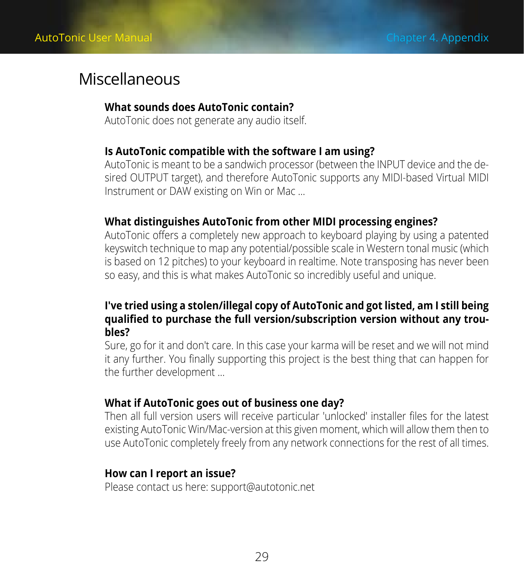### <span id="page-28-0"></span>**Miscellaneous**

#### **What sounds does AutoTonic contain?**

AutoTonic does not generate any audio itself.

#### **Is AutoTonic compatible with the software I am using?**

AutoTonic is meant to be a sandwich processor (between the INPUT device and the desired OUTPUT target), and therefore AutoTonic supports any MIDI-based Virtual MIDI Instrument or DAW existing on Win or Mac …

#### **What distinguishes AutoTonic from other MIDI processing engines?**

AutoTonic offers a completely new approach to keyboard playing by using a patented keyswitch technique to map any potential/possible scale in Western tonal music (which is based on 12 pitches) to your keyboard in realtime. Note transposing has never been so easy, and this is what makes AutoTonic so incredibly useful and unique.

### **I′ve tried using a stolen/illegal copy of AutoTonic and got listed, am I still being qualified to purchase the full version/subscription version without any troubles?**

Sure, go for it and don′t care. In this case your karma will be reset and we will not mind it any further. You finally supporting this project is the best thing that can happen for the further development …

#### **What if AutoTonic goes out of business one day?**

Then all full version users will receive particular ′unlocked′ installer files for the latest existing AutoTonic Win/Mac-version at this given moment, which will allow them then to use AutoTonic completely freely from any network connections for the rest of all times.

#### **How can I report an issue?**

Please contact us here: [support@autotonic.net](mailto:support%40autotonic.net?subject=%5BAutoTonic%5D%20Issue%20Report)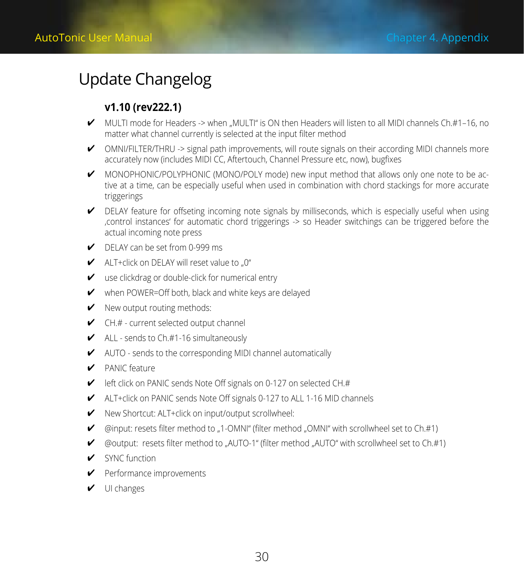## <span id="page-29-0"></span>Update Changelog

### **v1.10 (rev222.1)**

- $\blacktriangleright$  MULTI mode for Headers -> when  $\blacksquare$ MULTI" is ON then Headers will listen to all MIDI channels Ch.#1–16, no matter what channel currently is selected at the input filter method
- $\checkmark$  OMNI/FILTER/THRU -> signal path improvements, will route signals on their according MIDI channels more accurately now (includes MIDI CC, Aftertouch, Channel Pressure etc, now), bugfixes
- ཞ MONOPHONIC/POLYPHONIC (MONO/POLY mode) new input method that allows only one note to be active at a time, can be especially useful when used in combination with chord stackings for more accurate triggerings
- $\blacktriangleright$  DELAY feature for offseting incoming note signals by milliseconds, which is especially useful when using 'control instances' for automatic chord triggerings -> so Header switchings can be triggered before the actual incoming note press
- DELAY can be set from 0-999 ms
- $\blacktriangleright$  ALT+click on DELAY will reset value to ... 0"
- $\mathcal V$  use clickdrag or double-click for numerical entry
- $\mathcal V$  when POWER=Off both, black and white keys are delayed
- $\checkmark$  New output routing methods:
- $\checkmark$  CH.# current selected output channel
- $\blacktriangleright$  ALL sends to Ch.#1-16 simultaneously
- $\blacktriangleright$  AUTO sends to the corresponding MIDI channel automatically
- ཞ PANIC feature
- left click on PANIC sends Note Off signals on 0-127 on selected CH.#
- ཞ ALT+click on PANIC sends Note Off signals 0-127 to ALL 1-16 MID channels
- ཞ New Shortcut: ALT+click on input/output scrollwheel:
- $\blacktriangleright$  @input: resets filter method to ...1-OMNI" (filter method ... OMNI" with scrollwheel set to Ch.#1)
- ཞ @output: resets filter method to "AUTO-1" (filter method "AUTO" with scrollwheel set to Ch.#1)
- SYNC function
- ཞ Performance improvements
- $\vee$  UI changes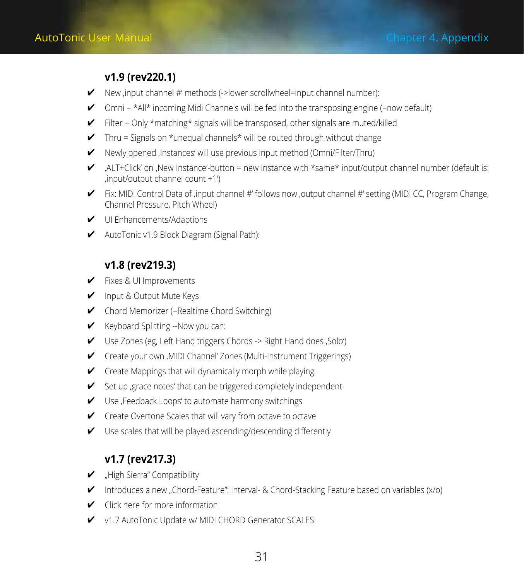### **v1.9 (rev220.1)**

- $\blacktriangleright$  New .input channel #' methods (->lower scrollwheel=input channel number):
- $\triangleright$  Omni = \*All\* incoming Midi Channels will be fed into the transposing engine (=now default)
- $\checkmark$  Filter = Only \*matching\* signals will be transposed, other signals are muted/killed
- $\checkmark$  Thru = Signals on \*unequal channels\* will be routed through without change
- ཞ Newly opened 'Instances' will use previous input method (Omni/Filter/Thru)
- ALT+Click' on , New Instance'-button = new instance with \*same\* input/output channel number (default is: 'input/output channel count +1')
- $\blacktriangleright$  Fix: MIDI Control Data of .input channel #' follows now .output channel #' setting (MIDI CC, Program Change, Channel Pressure, Pitch Wheel)
- $\nu$  UI Enhancements/Adaptions
- ཞ AutoTonic v1.9 Block Diagram (Signal Path):

### **v1.8 (rev219.3)**

- ཞ Fixes & UI Improvements
- ཞ Input & Output Mute Keys
- ཞ Chord Memorizer (=Realtime Chord Switching)
- Keyboard Splitting -- Now you can:
- ཞ Use Zones (eg, Left Hand triggers Chords -> Right Hand does 'Solo')
- ཞ Create your own 'MIDI Channel' Zones (Multi-Instrument Triggerings)
- ཞ Create Mappings that will dynamically morph while playing
- Set up , grace notes' that can be triggered completely independent
- ཞ Use 'Feedback Loops' to automate harmony switchings
- ཞ Create Overtone Scales that will vary from octave to octave
- ཞ Use scales that will be played ascending/descending differently

### **v1.7 (rev217.3)**

- ཞ "High Sierra" Compatibility
- $\checkmark$  Introduces a new "Chord-Feature": Interval- & Chord-Stacking Feature based on variables (x/o)
- $\checkmark$  Click here for more information
- $\checkmark$  v1.7 AutoTonic Update w/ MIDI CHORD Generator SCALES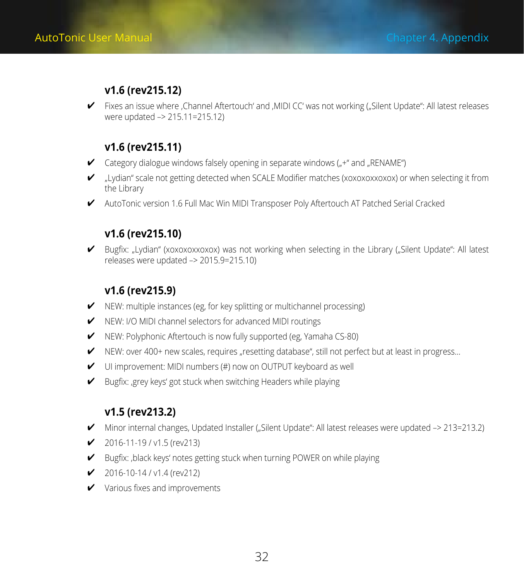### **v1.6 (rev215.12)**

ཞ Fixes an issue where 'Channel Aftertouch' and 'MIDI CC' was not working ("Silent Update": All latest releases were updated –> 215.11=215.12)

### **v1.6 (rev215.11)**

- $\checkmark$  Category dialogue windows falsely opening in separate windows ( $\checkmark$ +" and  $\checkmark$ RENAME")
- $\blacktriangleright$  "Lydian" scale not getting detected when SCALE Modifier matches (xoxoxoxxoxox) or when selecting it from the Library
- ཞ AutoTonic version 1.6 Full Mac Win MIDI Transposer Poly Aftertouch AT Patched Serial Cracked

### **v1.6 (rev215.10)**

ཞ Bugfix: "Lydian" (xoxoxoxxoxox) was not working when selecting in the Library ("Silent Update": All latest releases were updated –> 2015.9=215.10)

### **v1.6 (rev215.9)**

- $\checkmark$  NEW: multiple instances (eg, for key splitting or multichannel processing)
- ཞ NEW: I/O MIDI channel selectors for advanced MIDI routings
- ཞ NEW: Polyphonic Aftertouch is now fully supported (eg, Yamaha CS-80)
- $\checkmark$  NEW: over 400+ new scales, requires "resetting database", still not perfect but at least in progress...
- $\checkmark$  UI improvement: MIDI numbers (#) now on OUTPUT keyboard as well
- ཞ Bugfix: 'grey keys' got stuck when switching Headers while playing

### **v1.5 (rev213.2)**

- ཞ Minor internal changes, Updated Installer ("Silent Update": All latest releases were updated –> 213=213.2)
- $\checkmark$  2016-11-19 / v1.5 (rev213)
- ཞ Bugfix: 'black keys' notes getting stuck when turning POWER on while playing
- $\checkmark$  2016-10-14 / v1.4 (rev212)
- $\checkmark$  Various fixes and improvements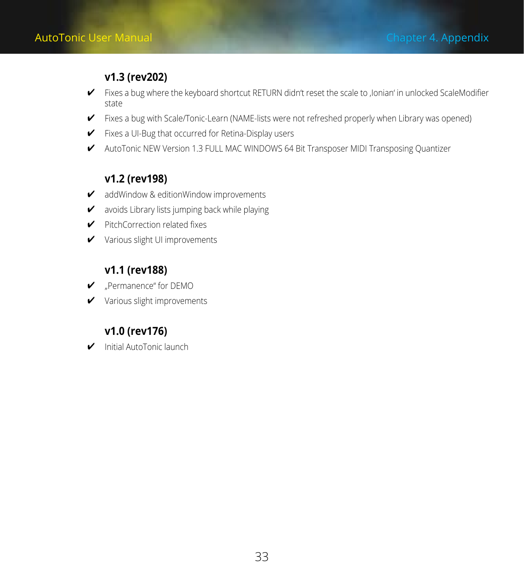### **v1.3 (rev202)**

- ཞ Fixes a bug where the keyboard shortcut RETURN didn't reset the scale to 'Ionian' in unlocked ScaleModifier state
- ཞ Fixes a bug with Scale/Tonic-Learn (NAME-lists were not refreshed properly when Library was opened)
- ཞ Fixes a UI-Bug that occurred for Retina-Display users
- ཞ AutoTonic NEW Version 1.3 FULL MAC WINDOWS 64 Bit Transposer MIDI Transposing Quantizer

### **v1.2 (rev198)**

- $\checkmark$  addWindow & editionWindow improvements
- v avoids Library lists jumping back while playing
- ཞ PitchCorrection related fixes
- ཞ Various slight UI improvements

### **v1.1 (rev188)**

- ཞ "Permanence" for DEMO
- ཞ Various slight improvements

### **v1.0 (rev176)**

ཞ Initial AutoTonic launch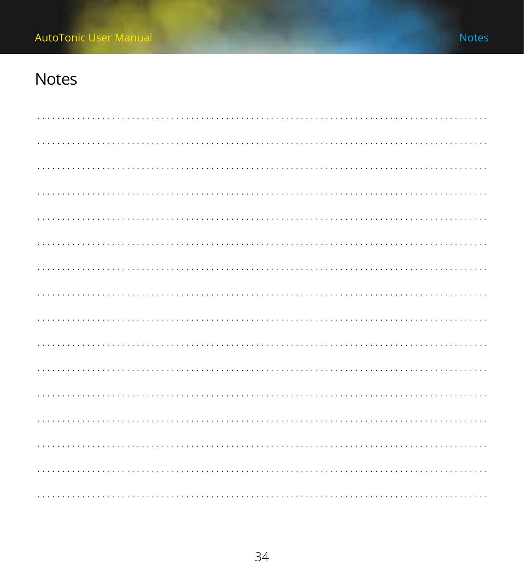### <span id="page-33-0"></span>**Notes**